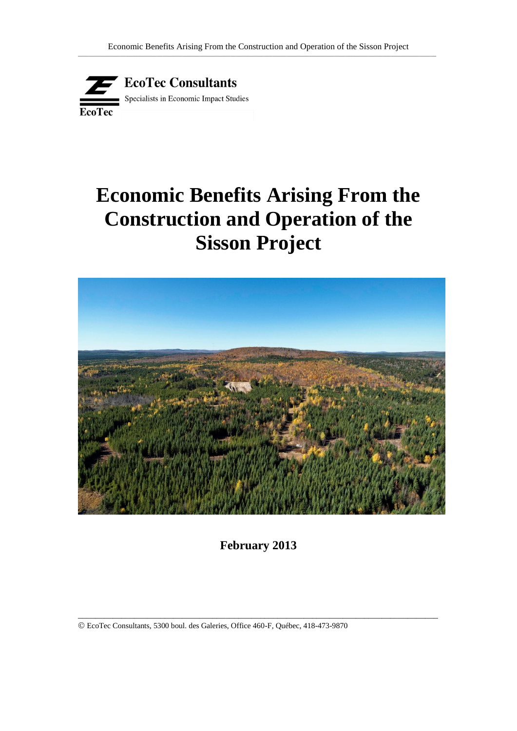

# **Economic Benefits Arising From the Construction and Operation of the Sisson Project**



**February 2013**

\_\_\_\_\_\_\_\_\_\_\_\_\_\_\_\_\_\_\_\_\_\_\_\_\_\_\_\_\_\_\_\_\_\_\_\_\_\_\_\_\_\_\_\_\_\_\_\_\_\_\_\_\_\_\_\_\_\_\_\_\_\_\_\_\_\_\_\_\_\_\_\_\_\_\_\_\_\_\_\_\_\_\_

EcoTec Consultants, 5300 boul. des Galeries, Office 460-F, Québec, 418-473-9870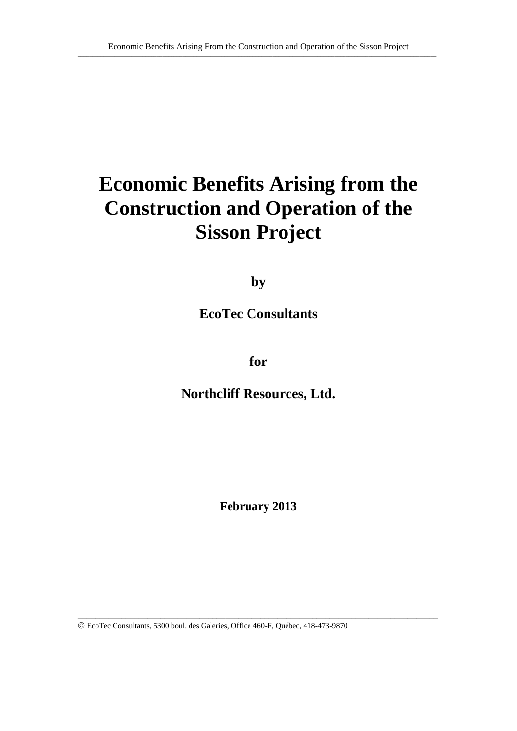# **Economic Benefits Arising from the Construction and Operation of the Sisson Project**

**by**

**EcoTec Consultants**

**for**

**Northcliff Resources, Ltd.**

**February 2013**

\_\_\_\_\_\_\_\_\_\_\_\_\_\_\_\_\_\_\_\_\_\_\_\_\_\_\_\_\_\_\_\_\_\_\_\_\_\_\_\_\_\_\_\_\_\_\_\_\_\_\_\_\_\_\_\_\_\_\_\_\_\_\_\_\_\_\_\_\_\_\_\_\_\_\_\_\_\_\_\_\_\_\_

EcoTec Consultants, 5300 boul. des Galeries, Office 460-F, Québec, 418-473-9870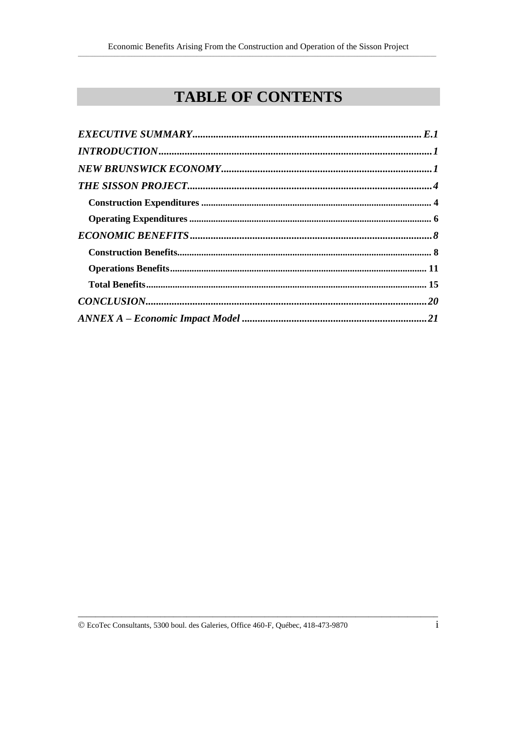# **TABLE OF CONTENTS**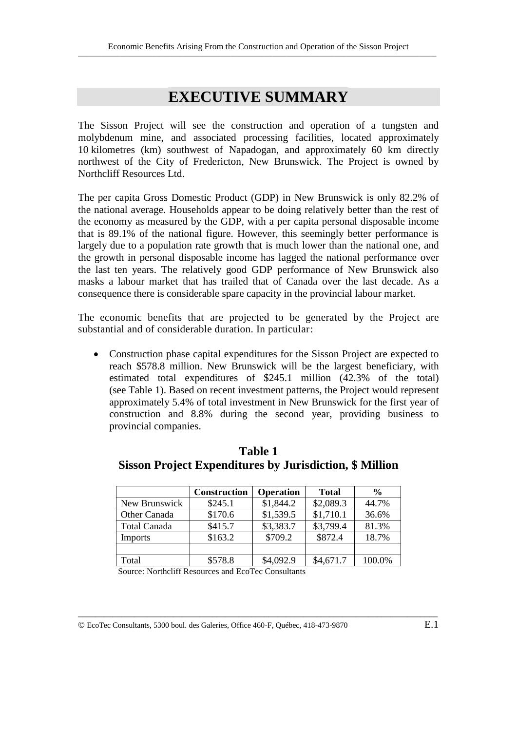# **EXECUTIVE SUMMARY**

The Sisson Project will see the construction and operation of a tungsten and molybdenum mine, and associated processing facilities, located approximately 10 kilometres (km) southwest of Napadogan, and approximately 60 km directly northwest of the City of Fredericton, New Brunswick. The Project is owned by Northcliff Resources Ltd.

The per capita Gross Domestic Product (GDP) in New Brunswick is only 82.2% of the national average. Households appear to be doing relatively better than the rest of the economy as measured by the GDP, with a per capita personal disposable income that is 89.1% of the national figure. However, this seemingly better performance is largely due to a population rate growth that is much lower than the national one, and the growth in personal disposable income has lagged the national performance over the last ten years. The relatively good GDP performance of New Brunswick also masks a labour market that has trailed that of Canada over the last decade. As a consequence there is considerable spare capacity in the provincial labour market.

The economic benefits that are projected to be generated by the Project are substantial and of considerable duration. In particular:

• Construction phase capital expenditures for the Sisson Project are expected to reach \$578.8 million. New Brunswick will be the largest beneficiary, with estimated total expenditures of \$245.1 million (42.3% of the total) (see Table 1). Based on recent investment patterns, the Project would represent approximately 5.4% of total investment in New Brunswick for the first year of construction and 8.8% during the second year, providing business to provincial companies.

|                     | <b>Construction</b> | <b>Operation</b> | <b>Total</b> | $\frac{0}{0}$ |
|---------------------|---------------------|------------------|--------------|---------------|
| New Brunswick       | \$245.1             | \$1,844.2        | \$2,089.3    | 44.7%         |
| Other Canada        | \$170.6             | \$1,539.5        | \$1,710.1    | 36.6%         |
| <b>Total Canada</b> | \$415.7             | \$3,383.7        | \$3,799.4    | 81.3%         |
| Imports             | \$163.2             | \$709.2          | \$872.4      | 18.7%         |
|                     |                     |                  |              |               |
| Total               | \$578.8             | \$4,092.9        | \$4,671.7    | 100.0%        |

\_\_\_\_\_\_\_\_\_\_\_\_\_\_\_\_\_\_\_\_\_\_\_\_\_\_\_\_\_\_\_\_\_\_\_\_\_\_\_\_\_\_\_\_\_\_\_\_\_\_\_\_\_\_\_\_\_\_\_\_\_\_\_\_\_\_\_\_\_\_\_\_\_\_\_\_\_\_\_\_\_\_\_

**Table 1 Sisson Project Expenditures by Jurisdiction, \$ Million**

Source: Northcliff Resources and EcoTec Consultants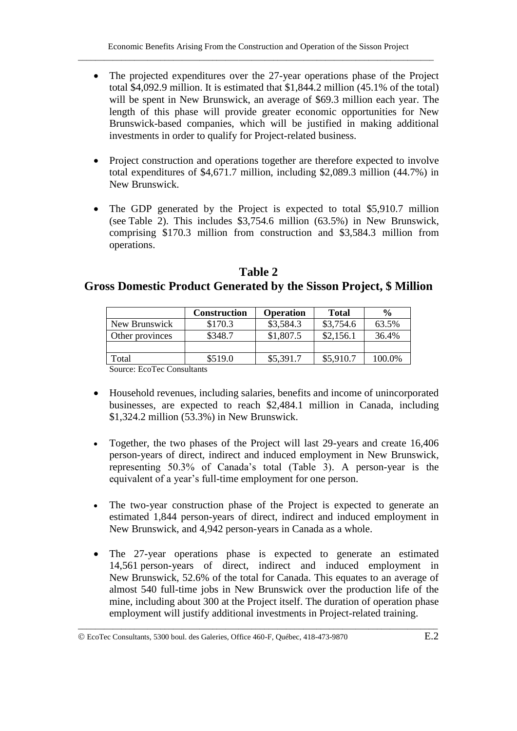- The projected expenditures over the 27-year operations phase of the Project total \$4,092.9 million. It is estimated that \$1,844.2 million (45.1% of the total) will be spent in New Brunswick, an average of \$69.3 million each year. The length of this phase will provide greater economic opportunities for New Brunswick-based companies, which will be justified in making additional investments in order to qualify for Project-related business.
- Project construction and operations together are therefore expected to involve total expenditures of \$4,671.7 million, including \$2,089.3 million (44.7%) in New Brunswick.
- The GDP generated by the Project is expected to total \$5,910.7 million (see Table 2). This includes \$3,754.6 million (63.5%) in New Brunswick, comprising \$170.3 million from construction and \$3,584.3 million from operations.

#### **Table 2 Gross Domestic Product Generated by the Sisson Project, \$ Million**

|                                 | <b>Construction</b> | <b>Operation</b> | <b>Total</b> | $\frac{6}{6}$ |
|---------------------------------|---------------------|------------------|--------------|---------------|
| New Brunswick                   | \$170.3             | \$3,584.3        | \$3,754.6    | 63.5%         |
| Other provinces                 | \$348.7             | \$1,807.5        | \$2,156.1    | 36.4%         |
|                                 |                     |                  |              |               |
| Total                           | \$519.0             | \$5,391.7        | \$5,910.7    | 100.0%        |
| Secondo Dee Tree Composition to |                     |                  |              |               |

Source: EcoTec Consultants

- Household revenues, including salaries, benefits and income of unincorporated businesses, are expected to reach \$2,484.1 million in Canada, including \$1,324.2 million (53.3%) in New Brunswick.
- Together, the two phases of the Project will last 29-years and create 16,406 person-years of direct, indirect and induced employment in New Brunswick, representing 50.3% of Canada's total (Table 3). A person-year is the equivalent of a year's full-time employment for one person.
- The two-year construction phase of the Project is expected to generate an estimated 1,844 person-years of direct, indirect and induced employment in New Brunswick, and 4,942 person-years in Canada as a whole.
- The 27-year operations phase is expected to generate an estimated 14,561 person-years of direct, indirect and induced employment in New Brunswick, 52.6% of the total for Canada. This equates to an average of almost 540 full-time jobs in New Brunswick over the production life of the mine, including about 300 at the Project itself. The duration of operation phase employment will justify additional investments in Project-related training.

EcoTec Consultants, 5300 boul. des Galeries, Office 460-F, Québec, 418-473-9870 E.2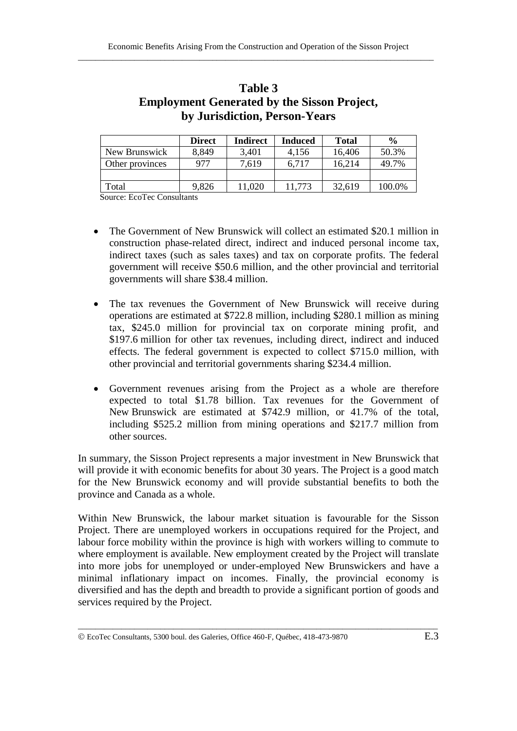|                 | <b>Direct</b> | Indirect | <b>Induced</b> | <b>Total</b> | $\frac{0}{0}$ |
|-----------------|---------------|----------|----------------|--------------|---------------|
| New Brunswick   | 8,849         | 3,401    | 4,156          | 16,406       | 50.3%         |
| Other provinces | 977           | 7,619    | 6,717          | 16,214       | 49.7%         |
|                 |               |          |                |              |               |
| Total           | 9,826         | 11,020   | 11.773         | 32,619       | 100.0%        |

#### **Table 3 Employment Generated by the Sisson Project, by Jurisdiction, Person-Years**

Source: EcoTec Consultants

- The Government of New Brunswick will collect an estimated \$20.1 million in construction phase-related direct, indirect and induced personal income tax, indirect taxes (such as sales taxes) and tax on corporate profits. The federal government will receive \$50.6 million, and the other provincial and territorial governments will share \$38.4 million.
- The tax revenues the Government of New Brunswick will receive during operations are estimated at \$722.8 million, including \$280.1 million as mining tax, \$245.0 million for provincial tax on corporate mining profit, and \$197.6 million for other tax revenues, including direct, indirect and induced effects. The federal government is expected to collect \$715.0 million, with other provincial and territorial governments sharing \$234.4 million.
- Government revenues arising from the Project as a whole are therefore expected to total \$1.78 billion. Tax revenues for the Government of New Brunswick are estimated at \$742.9 million, or 41.7% of the total, including \$525.2 million from mining operations and \$217.7 million from other sources.

In summary, the Sisson Project represents a major investment in New Brunswick that will provide it with economic benefits for about 30 years. The Project is a good match for the New Brunswick economy and will provide substantial benefits to both the province and Canada as a whole.

Within New Brunswick, the labour market situation is favourable for the Sisson Project. There are unemployed workers in occupations required for the Project, and labour force mobility within the province is high with workers willing to commute to where employment is available. New employment created by the Project will translate into more jobs for unemployed or under-employed New Brunswickers and have a minimal inflationary impact on incomes. Finally, the provincial economy is diversified and has the depth and breadth to provide a significant portion of goods and services required by the Project.

EcoTec Consultants, 5300 boul. des Galeries, Office 460-F, Québec, 418-473-9870 E.3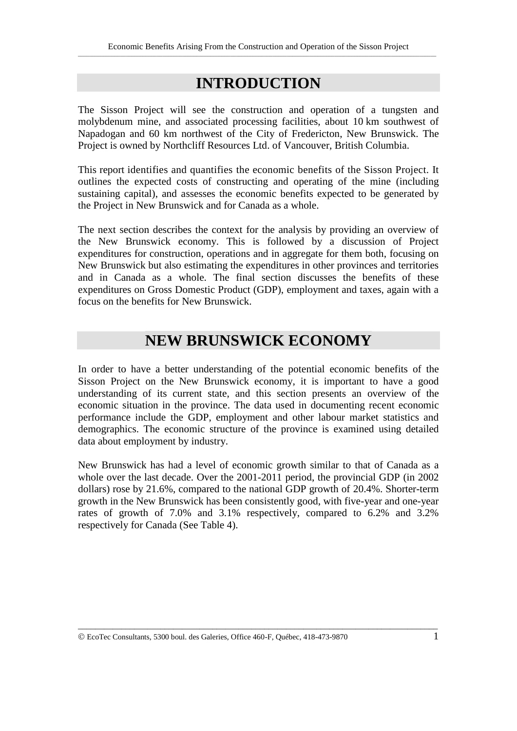# **INTRODUCTION**

The Sisson Project will see the construction and operation of a tungsten and molybdenum mine, and associated processing facilities, about 10 km southwest of Napadogan and 60 km northwest of the City of Fredericton, New Brunswick. The Project is owned by Northcliff Resources Ltd. of Vancouver, British Columbia.

This report identifies and quantifies the economic benefits of the Sisson Project. It outlines the expected costs of constructing and operating of the mine (including sustaining capital), and assesses the economic benefits expected to be generated by the Project in New Brunswick and for Canada as a whole.

The next section describes the context for the analysis by providing an overview of the New Brunswick economy. This is followed by a discussion of Project expenditures for construction, operations and in aggregate for them both, focusing on New Brunswick but also estimating the expenditures in other provinces and territories and in Canada as a whole. The final section discusses the benefits of these expenditures on Gross Domestic Product (GDP), employment and taxes, again with a focus on the benefits for New Brunswick.

# **NEW BRUNSWICK ECONOMY**

In order to have a better understanding of the potential economic benefits of the Sisson Project on the New Brunswick economy, it is important to have a good understanding of its current state, and this section presents an overview of the economic situation in the province. The data used in documenting recent economic performance include the GDP, employment and other labour market statistics and demographics. The economic structure of the province is examined using detailed data about employment by industry.

New Brunswick has had a level of economic growth similar to that of Canada as a whole over the last decade. Over the 2001-2011 period, the provincial GDP (in 2002 dollars) rose by 21.6%, compared to the national GDP growth of 20.4%. Shorter-term growth in the New Brunswick has been consistently good, with five-year and one-year rates of growth of 7.0% and 3.1% respectively, compared to 6.2% and 3.2% respectively for Canada (See Table 4).

EcoTec Consultants, 5300 boul. des Galeries, Office 460-F, Québec, 418-473-9870 1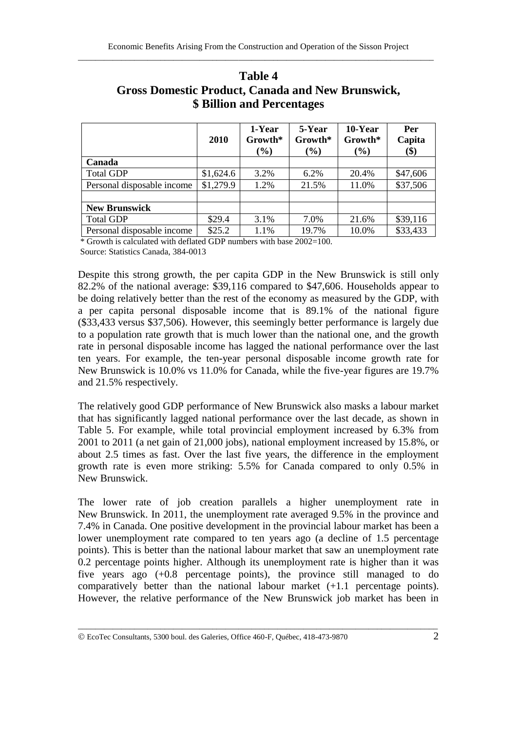|                            | 2010      | 1-Year<br>Growth*<br>$(\%)$ | 5-Year<br>Growth*<br>$(\%)$ | 10-Year<br>Growth*<br>$(\%)$ | Per<br>Capita<br>\$) |
|----------------------------|-----------|-----------------------------|-----------------------------|------------------------------|----------------------|
| Canada                     |           |                             |                             |                              |                      |
| <b>Total GDP</b>           | \$1,624.6 | 3.2%                        | 6.2%                        | 20.4%                        | \$47,606             |
| Personal disposable income | \$1,279.9 | 1.2%                        | 21.5%                       | 11.0%                        | \$37,506             |
|                            |           |                             |                             |                              |                      |
| <b>New Brunswick</b>       |           |                             |                             |                              |                      |
| <b>Total GDP</b>           | \$29.4    | 3.1%                        | 7.0%                        | 21.6%                        | \$39,116             |
| Personal disposable income | \$25.2    | 1.1%                        | 19.7%                       | 10.0%                        | \$33,433             |

#### **Table 4 Gross Domestic Product, Canada and New Brunswick, \$ Billion and Percentages**

\* Growth is calculated with deflated GDP numbers with base 2002=100.

Source: Statistics Canada, 384-0013

Despite this strong growth, the per capita GDP in the New Brunswick is still only 82.2% of the national average: \$39,116 compared to \$47,606. Households appear to be doing relatively better than the rest of the economy as measured by the GDP, with a per capita personal disposable income that is 89.1% of the national figure (\$33,433 versus \$37,506). However, this seemingly better performance is largely due to a population rate growth that is much lower than the national one, and the growth rate in personal disposable income has lagged the national performance over the last ten years. For example, the ten-year personal disposable income growth rate for New Brunswick is 10.0% vs 11.0% for Canada, while the five-year figures are 19.7% and 21.5% respectively.

The relatively good GDP performance of New Brunswick also masks a labour market that has significantly lagged national performance over the last decade, as shown in Table 5. For example, while total provincial employment increased by 6.3% from 2001 to 2011 (a net gain of 21,000 jobs), national employment increased by 15.8%, or about 2.5 times as fast. Over the last five years, the difference in the employment growth rate is even more striking: 5.5% for Canada compared to only 0.5% in New Brunswick.

The lower rate of job creation parallels a higher unemployment rate in New Brunswick. In 2011, the unemployment rate averaged 9.5% in the province and 7.4% in Canada. One positive development in the provincial labour market has been a lower unemployment rate compared to ten years ago (a decline of 1.5 percentage points). This is better than the national labour market that saw an unemployment rate 0.2 percentage points higher. Although its unemployment rate is higher than it was five years ago (+0.8 percentage points), the province still managed to do comparatively better than the national labour market (+1.1 percentage points). However, the relative performance of the New Brunswick job market has been in

EcoTec Consultants, 5300 boul. des Galeries, Office 460-F, Québec, 418-473-9870 2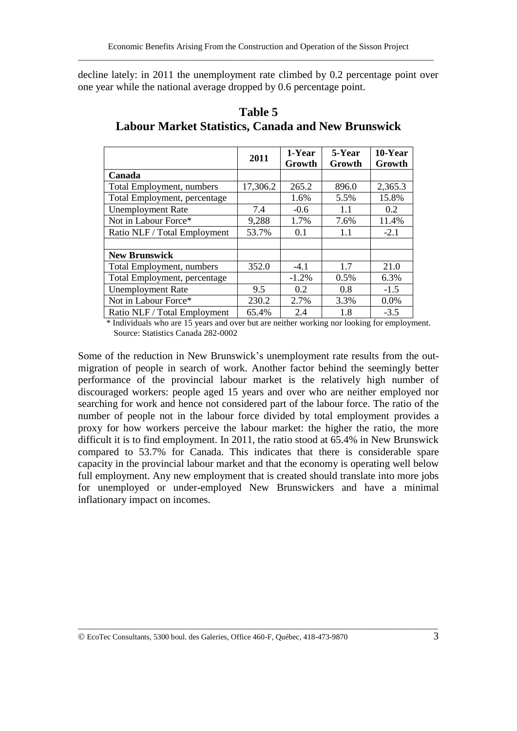decline lately: in 2011 the unemployment rate climbed by 0.2 percentage point over one year while the national average dropped by 0.6 percentage point.

|                                  | 2011     | 1-Year<br>Growth | 5-Year<br>Growth | 10-Year<br>Growth |
|----------------------------------|----------|------------------|------------------|-------------------|
| Canada                           |          |                  |                  |                   |
| <b>Total Employment, numbers</b> | 17,306.2 | 265.2            | 896.0            | 2,365.3           |
| Total Employment, percentage     |          | 1.6%             | 5.5%             | 15.8%             |
| <b>Unemployment Rate</b>         | 7.4      | $-0.6$           | 1.1              | 0.2               |
| Not in Labour Force*             | 9,288    | 1.7%             | 7.6%             | 11.4%             |
| Ratio NLF / Total Employment     | 53.7%    | 0.1              | 1.1              | $-2.1$            |
|                                  |          |                  |                  |                   |
| <b>New Brunswick</b>             |          |                  |                  |                   |
| Total Employment, numbers        | 352.0    | $-4.1$           | 1.7              | 21.0              |
| Total Employment, percentage     |          | $-1.2%$          | 0.5%             | 6.3%              |
| <b>Unemployment Rate</b>         | 9.5      | 0.2              | 0.8              | $-1.5$            |
| Not in Labour Force*             | 230.2    | 2.7%             | 3.3%             | 0.0%              |
| Ratio NLF / Total Employment     | 65.4%    | 2.4              | 1.8              | $-3.5$            |

#### **Table 5 Labour Market Statistics, Canada and New Brunswick**

 \* Individuals who are 15 years and over but are neither working nor looking for employment. Source: Statistics Canada 282-0002

Some of the reduction in New Brunswick's unemployment rate results from the outmigration of people in search of work. Another factor behind the seemingly better performance of the provincial labour market is the relatively high number of discouraged workers: people aged 15 years and over who are neither employed nor searching for work and hence not considered part of the labour force. The ratio of the number of people not in the labour force divided by total employment provides a proxy for how workers perceive the labour market: the higher the ratio, the more difficult it is to find employment. In 2011, the ratio stood at 65.4% in New Brunswick compared to 53.7% for Canada. This indicates that there is considerable spare capacity in the provincial labour market and that the economy is operating well below full employment. Any new employment that is created should translate into more jobs for unemployed or under-employed New Brunswickers and have a minimal inflationary impact on incomes.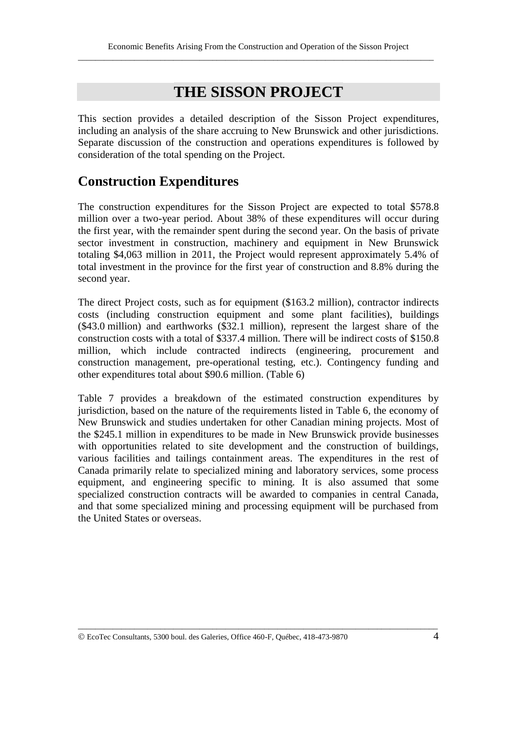## **THE SISSON PROJECT**

This section provides a detailed description of the Sisson Project expenditures, including an analysis of the share accruing to New Brunswick and other jurisdictions. Separate discussion of the construction and operations expenditures is followed by consideration of the total spending on the Project.

## **Construction Expenditures**

The construction expenditures for the Sisson Project are expected to total \$578.8 million over a two-year period. About 38% of these expenditures will occur during the first year, with the remainder spent during the second year. On the basis of private sector investment in construction, machinery and equipment in New Brunswick totaling \$4,063 million in 2011, the Project would represent approximately 5.4% of total investment in the province for the first year of construction and 8.8% during the second year.

The direct Project costs, such as for equipment (\$163.2 million), contractor indirects costs (including construction equipment and some plant facilities), buildings (\$43.0 million) and earthworks (\$32.1 million), represent the largest share of the construction costs with a total of \$337.4 million. There will be indirect costs of \$150.8 million, which include contracted indirects (engineering, procurement and construction management, pre-operational testing, etc.). Contingency funding and other expenditures total about \$90.6 million. (Table 6)

Table 7 provides a breakdown of the estimated construction expenditures by jurisdiction, based on the nature of the requirements listed in Table 6, the economy of New Brunswick and studies undertaken for other Canadian mining projects. Most of the \$245.1 million in expenditures to be made in New Brunswick provide businesses with opportunities related to site development and the construction of buildings, various facilities and tailings containment areas. The expenditures in the rest of Canada primarily relate to specialized mining and laboratory services, some process equipment, and engineering specific to mining. It is also assumed that some specialized construction contracts will be awarded to companies in central Canada, and that some specialized mining and processing equipment will be purchased from the United States or overseas.

EcoTec Consultants, 5300 boul. des Galeries, Office 460-F, Québec, 418-473-9870 4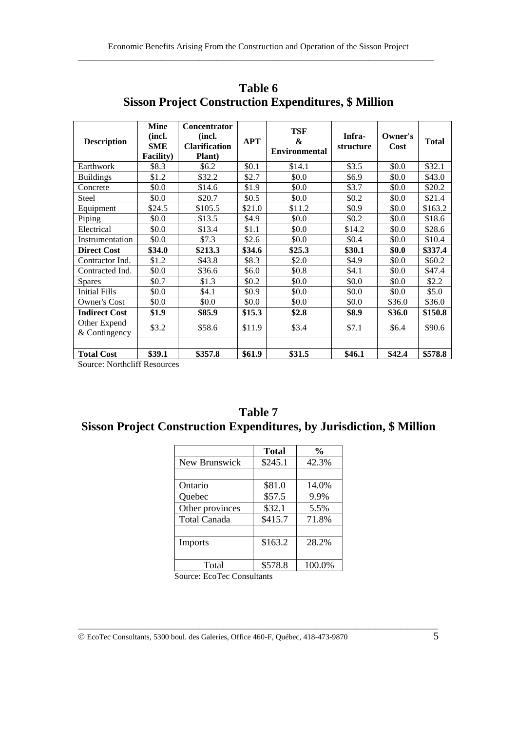| <b>Description</b>            | <b>Mine</b><br>(incl.<br><b>SME</b><br>Facility) | <b>Concentrator</b><br>(incl.<br><b>Clarification</b><br><b>Plant</b> ) | <b>APT</b> | <b>TSF</b><br><b>&amp;</b><br><b>Environmental</b> | Infra-<br>structure | Owner's<br>Cost | <b>Total</b> |
|-------------------------------|--------------------------------------------------|-------------------------------------------------------------------------|------------|----------------------------------------------------|---------------------|-----------------|--------------|
| Earthwork                     | \$8.3                                            | \$6.2                                                                   | \$0.1      | \$14.1                                             | \$3.5               | \$0.0           | \$32.1       |
| <b>Buildings</b>              | \$1.2                                            | \$32.2                                                                  | \$2.7      | \$0.0                                              | \$6.9               | \$0.0           | \$43.0       |
| Concrete                      | \$0.0                                            | \$14.6                                                                  | \$1.9      | \$0.0                                              | \$3.7               | \$0.0           | \$20.2       |
| Steel                         | \$0.0                                            | \$20.7                                                                  | \$0.5      | \$0.0                                              | \$0.2               | \$0.0           | \$21.4       |
| Equipment                     | \$24.5                                           | \$105.5                                                                 | \$21.0     | \$11.2                                             | \$0.9               | \$0.0           | \$163.2      |
| Piping                        | \$0.0                                            | \$13.5                                                                  | \$4.9      | \$0.0                                              | \$0.2               | \$0.0           | \$18.6       |
| Electrical                    | \$0.0                                            | \$13.4                                                                  | \$1.1      | \$0.0                                              | \$14.2              | \$0.0           | \$28.6       |
| Instrumentation               | \$0.0                                            | \$7.3                                                                   | \$2.6      | \$0.0                                              | \$0.4               | \$0.0           | \$10.4       |
| <b>Direct Cost</b>            | \$34.0                                           | \$213.3                                                                 | \$34.6     | \$25.3                                             | \$30.1              | \$0.0           | \$337.4      |
| Contractor Ind.               | \$1.2                                            | \$43.8                                                                  | \$8.3      | \$2.0                                              | \$4.9               | \$0.0           | \$60.2       |
| Contracted Ind.               | \$0.0                                            | \$36.6                                                                  | \$6.0      | \$0.8                                              | \$4.1               | \$0.0           | \$47.4       |
| <b>Spares</b>                 | \$0.7                                            | \$1.3                                                                   | \$0.2\$    | \$0.0                                              | \$0.0               | \$0.0           | \$2.2        |
| <b>Initial Fills</b>          | \$0.0                                            | \$4.1                                                                   | \$0.9      | \$0.0                                              | \$0.0               | \$0.0           | \$5.0        |
| <b>Owner's Cost</b>           | \$0.0                                            | \$0.0                                                                   | \$0.0      | \$0.0                                              | \$0.0               | \$36.0          | \$36.0       |
| <b>Indirect Cost</b>          | \$1.9                                            | \$85.9                                                                  | \$15.3     | \$2.8                                              | \$8.9               | \$36.0          | \$150.8      |
| Other Expend<br>& Contingency | \$3.2                                            | \$58.6                                                                  | \$11.9     | \$3.4                                              | \$7.1               | \$6.4           | \$90.6       |
| <b>Total Cost</b>             | \$39.1                                           | \$357.8                                                                 | \$61.9     | \$31.5                                             | \$46.1              | \$42.4          | \$578.8      |

**Table 6 Sisson Project Construction Expenditures, \$ Million**

Source: Northcliff Resources

| Table 7 |  |  |                                                                       |  |  |  |
|---------|--|--|-----------------------------------------------------------------------|--|--|--|
|         |  |  | Sisson Project Construction Expenditures, by Jurisdiction, \$ Million |  |  |  |

|                     | <b>Total</b> | $\frac{6}{9}$ |
|---------------------|--------------|---------------|
| New Brunswick       | \$245.1      | 42.3%         |
|                     |              |               |
| Ontario             | \$81.0       | 14.0%         |
| Quebec              | \$57.5       | 9.9%          |
| Other provinces     | \$32.1       | 5.5%          |
| <b>Total Canada</b> | \$415.7      | 71.8%         |
|                     |              |               |
| Imports             | \$163.2      | 28.2%         |
|                     |              |               |
| Total               | \$578.8      | 100.0%        |
|                     |              |               |

\_\_\_\_\_\_\_\_\_\_\_\_\_\_\_\_\_\_\_\_\_\_\_\_\_\_\_\_\_\_\_\_\_\_\_\_\_\_\_\_\_\_\_\_\_\_\_\_\_\_\_\_\_\_\_\_\_\_\_\_\_\_\_\_\_\_\_\_\_\_\_\_\_\_\_\_\_\_\_\_\_\_\_

Source: EcoTec Consultants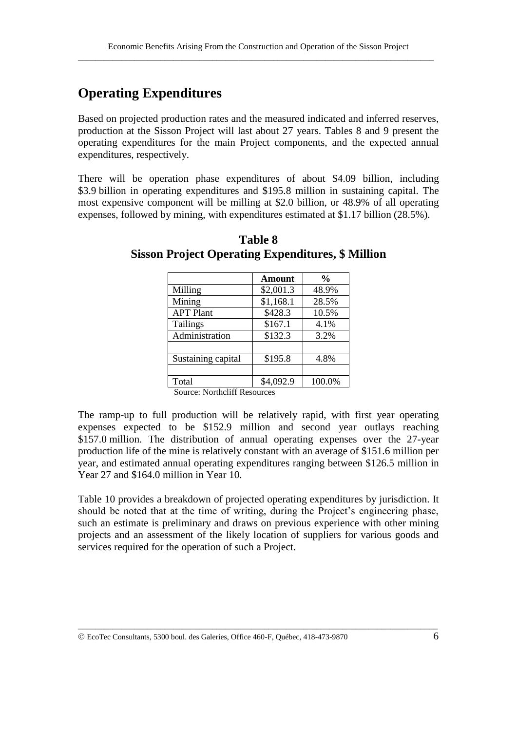## **Operating Expenditures**

Based on projected production rates and the measured indicated and inferred reserves, production at the Sisson Project will last about 27 years. Tables 8 and 9 present the operating expenditures for the main Project components, and the expected annual expenditures, respectively.

There will be operation phase expenditures of about \$4.09 billion, including \$3.9 billion in operating expenditures and \$195.8 million in sustaining capital. The most expensive component will be milling at \$2.0 billion, or 48.9% of all operating expenses, followed by mining, with expenditures estimated at \$1.17 billion (28.5%).

|                    | Amount    | $\frac{6}{10}$ |
|--------------------|-----------|----------------|
| Milling            | \$2,001.3 | 48.9%          |
| Mining             | \$1,168.1 | 28.5%          |
| <b>APT Plant</b>   | \$428.3   | 10.5%          |
| Tailings           | \$167.1   | 4.1%           |
| Administration     | \$132.3   | 3.2%           |
|                    |           |                |
| Sustaining capital | \$195.8   | 4.8%           |
|                    |           |                |
| Total              | \$4,092.9 | 100.0%         |

#### **Table 8 Sisson Project Operating Expenditures, \$ Million**

Source: Northcliff Resources

The ramp-up to full production will be relatively rapid, with first year operating expenses expected to be \$152.9 million and second year outlays reaching \$157.0 million. The distribution of annual operating expenses over the 27-year production life of the mine is relatively constant with an average of \$151.6 million per year, and estimated annual operating expenditures ranging between \$126.5 million in Year 27 and \$164.0 million in Year 10.

Table 10 provides a breakdown of projected operating expenditures by jurisdiction. It should be noted that at the time of writing, during the Project's engineering phase, such an estimate is preliminary and draws on previous experience with other mining projects and an assessment of the likely location of suppliers for various goods and services required for the operation of such a Project.

EcoTec Consultants, 5300 boul. des Galeries, Office 460-F, Québec, 418-473-9870 6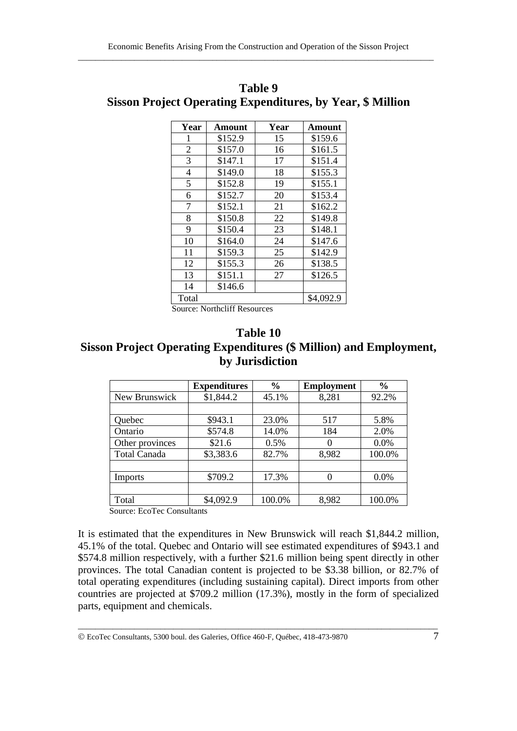| Year           | Amount  | Year | Amount    |
|----------------|---------|------|-----------|
| 1              | \$152.9 | 15   | \$159.6   |
| $\overline{2}$ | \$157.0 | 16   | \$161.5   |
| 3              | \$147.1 | 17   | \$151.4   |
| $\overline{4}$ | \$149.0 | 18   | \$155.3   |
| 5              | \$152.8 | 19   | \$155.1   |
| 6              | \$152.7 | 20   | \$153.4   |
| 7              | \$152.1 | 21   | \$162.2   |
| 8              | \$150.8 | 22   | \$149.8   |
| 9              | \$150.4 | 23   | \$148.1   |
| 10             | \$164.0 | 24   | \$147.6   |
| 11             | \$159.3 | 25   | \$142.9   |
| 12             | \$155.3 | 26   | \$138.5   |
| 13             | \$151.1 | 27   | \$126.5   |
| 14             | \$146.6 |      |           |
| Total          |         |      | \$4,092.9 |

**Table 9 Sisson Project Operating Expenditures, by Year, \$ Million**

Source: Northcliff Resources

#### **Table 10 Sisson Project Operating Expenditures (\$ Million) and Employment, by Jurisdiction**

|                     | <b>Expenditures</b> | $\frac{0}{0}$ | <b>Employment</b> | $\frac{0}{0}$ |
|---------------------|---------------------|---------------|-------------------|---------------|
| New Brunswick       | \$1,844.2           | 45.1%         | 8,281             | 92.2%         |
|                     |                     |               |                   |               |
| Quebec              | \$943.1             | 23.0%         | 517               | 5.8%          |
| Ontario             | \$574.8             | 14.0%         | 184               | 2.0%          |
| Other provinces     | \$21.6              | 0.5%          | 0                 | 0.0%          |
| <b>Total Canada</b> | \$3,383.6           | 82.7%         | 8,982             | 100.0%        |
|                     |                     |               |                   |               |
| Imports             | \$709.2             | 17.3%         | 0                 | $0.0\%$       |
|                     |                     |               |                   |               |
| Total               | \$4,092.9           | 100.0%        | 8,982             | 100.0%        |

Source: EcoTec Consultants

It is estimated that the expenditures in New Brunswick will reach \$1,844.2 million, 45.1% of the total. Quebec and Ontario will see estimated expenditures of \$943.1 and \$574.8 million respectively, with a further \$21.6 million being spent directly in other provinces. The total Canadian content is projected to be \$3.38 billion, or 82.7% of total operating expenditures (including sustaining capital). Direct imports from other countries are projected at \$709.2 million (17.3%), mostly in the form of specialized parts, equipment and chemicals.

EcoTec Consultants, 5300 boul. des Galeries, Office 460-F, Québec, 418-473-9870 7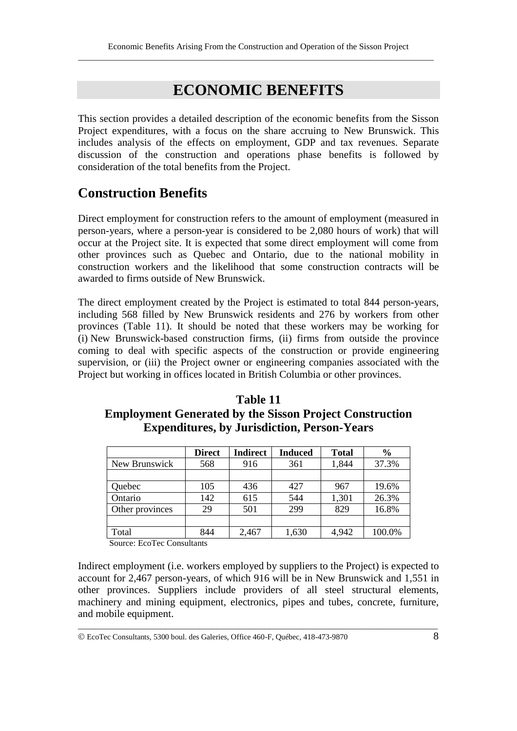# **ECONOMIC BENEFITS**

This section provides a detailed description of the economic benefits from the Sisson Project expenditures, with a focus on the share accruing to New Brunswick. This includes analysis of the effects on employment, GDP and tax revenues. Separate discussion of the construction and operations phase benefits is followed by consideration of the total benefits from the Project.

## **Construction Benefits**

Direct employment for construction refers to the amount of employment (measured in person-years, where a person-year is considered to be 2,080 hours of work) that will occur at the Project site. It is expected that some direct employment will come from other provinces such as Quebec and Ontario, due to the national mobility in construction workers and the likelihood that some construction contracts will be awarded to firms outside of New Brunswick.

The direct employment created by the Project is estimated to total 844 person-years, including 568 filled by New Brunswick residents and 276 by workers from other provinces (Table 11). It should be noted that these workers may be working for (i) New Brunswick-based construction firms, (ii) firms from outside the province coming to deal with specific aspects of the construction or provide engineering supervision, or (iii) the Project owner or engineering companies associated with the Project but working in offices located in British Columbia or other provinces.

#### **Table 11 Employment Generated by the Sisson Project Construction Expenditures, by Jurisdiction, Person-Years**

|                 | <b>Direct</b> | <b>Indirect</b> | <b>Induced</b> | <b>Total</b> | $\frac{6}{9}$ |
|-----------------|---------------|-----------------|----------------|--------------|---------------|
| New Brunswick   | 568           | 916             | 361            | 1,844        | 37.3%         |
|                 |               |                 |                |              |               |
| Quebec          | 105           | 436             | 427            | 967          | 19.6%         |
| Ontario         | 142           | 615             | 544            | 1,301        | 26.3%         |
| Other provinces | 29            | 501             | 299            | 829          | 16.8%         |
|                 |               |                 |                |              |               |
| Total           | 844           | 2,467           | 1,630          | 4,942        | 100.0%        |

Source: EcoTec Consultants

Indirect employment (i.e. workers employed by suppliers to the Project) is expected to account for 2,467 person-years, of which 916 will be in New Brunswick and 1,551 in other provinces. Suppliers include providers of all steel structural elements, machinery and mining equipment, electronics, pipes and tubes, concrete, furniture, and mobile equipment.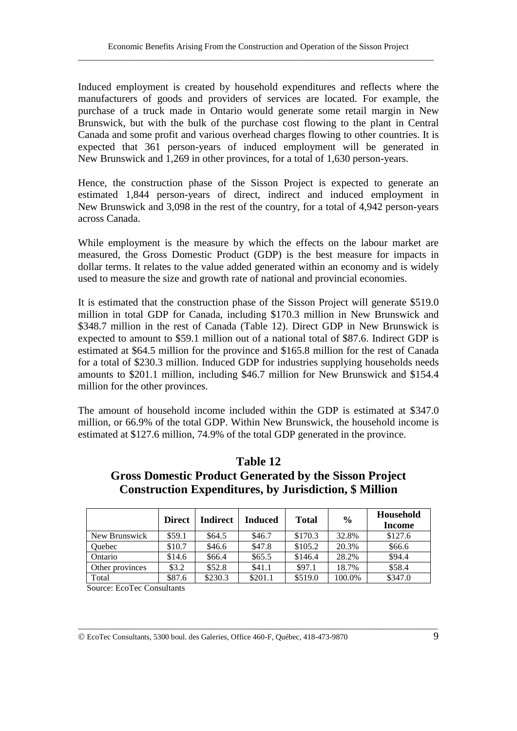Induced employment is created by household expenditures and reflects where the manufacturers of goods and providers of services are located. For example, the purchase of a truck made in Ontario would generate some retail margin in New Brunswick, but with the bulk of the purchase cost flowing to the plant in Central Canada and some profit and various overhead charges flowing to other countries. It is expected that 361 person-years of induced employment will be generated in New Brunswick and 1,269 in other provinces, for a total of 1,630 person-years.

Hence, the construction phase of the Sisson Project is expected to generate an estimated 1,844 person-years of direct, indirect and induced employment in New Brunswick and 3,098 in the rest of the country, for a total of 4,942 person-years across Canada.

While employment is the measure by which the effects on the labour market are measured, the Gross Domestic Product (GDP) is the best measure for impacts in dollar terms. It relates to the value added generated within an economy and is widely used to measure the size and growth rate of national and provincial economies.

It is estimated that the construction phase of the Sisson Project will generate \$519.0 million in total GDP for Canada, including \$170.3 million in New Brunswick and \$348.7 million in the rest of Canada (Table 12). Direct GDP in New Brunswick is expected to amount to \$59.1 million out of a national total of \$87.6. Indirect GDP is estimated at \$64.5 million for the province and \$165.8 million for the rest of Canada for a total of \$230.3 million. Induced GDP for industries supplying households needs amounts to \$201.1 million, including \$46.7 million for New Brunswick and \$154.4 million for the other provinces.

The amount of household income included within the GDP is estimated at \$347.0 million, or 66.9% of the total GDP. Within New Brunswick, the household income is estimated at \$127.6 million, 74.9% of the total GDP generated in the province.

|                 | <b>Direct</b> | <b>Indirect</b> | Induced | <b>Total</b> | $\frac{6}{6}$ | Household<br>Income |
|-----------------|---------------|-----------------|---------|--------------|---------------|---------------------|
| New Brunswick   | \$59.1        | \$64.5          | \$46.7  | \$170.3      | 32.8%         | \$127.6             |
| Ouebec          | \$10.7        | \$46.6          | \$47.8  | \$105.2      | 20.3%         | \$66.6              |
| Ontario         | \$14.6        | \$66.4          | \$65.5  | \$146.4      | 28.2%         | \$94.4              |
| Other provinces | \$3.2\$       | \$52.8          | \$41.1  | \$97.1       | 18.7%         | \$58.4              |
| Total           | \$87.6        | \$230.3         | \$201.1 | \$519.0      | 100.0%        | \$347.0             |

\_\_\_\_\_\_\_\_\_\_\_\_\_\_\_\_\_\_\_\_\_\_\_\_\_\_\_\_\_\_\_\_\_\_\_\_\_\_\_\_\_\_\_\_\_\_\_\_\_\_\_\_\_\_\_\_\_\_\_\_\_\_\_\_\_\_\_\_\_\_\_\_\_\_\_\_\_\_\_\_\_\_\_

#### **Table 12 Gross Domestic Product Generated by the Sisson Project**

**Construction Expenditures, by Jurisdiction, \$ Million**

Source: EcoTec Consultants

EcoTec Consultants, 5300 boul. des Galeries, Office 460-F, Québec, 418-473-9870 9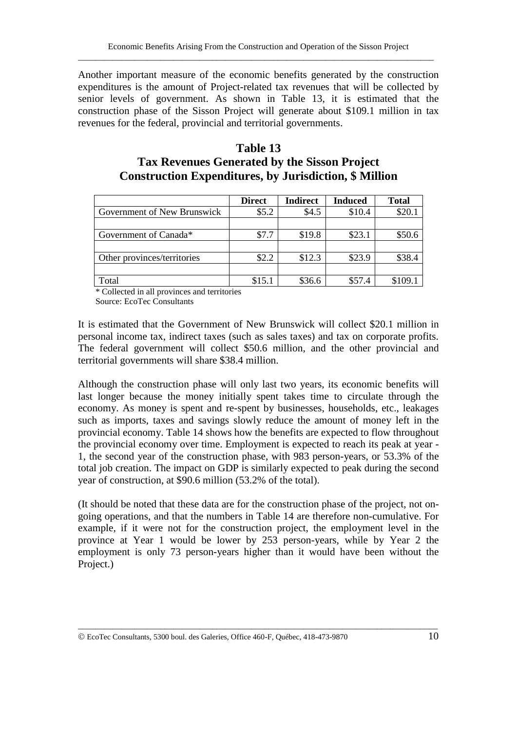Another important measure of the economic benefits generated by the construction expenditures is the amount of Project-related tax revenues that will be collected by senior levels of government. As shown in Table 13, it is estimated that the construction phase of the Sisson Project will generate about \$109.1 million in tax revenues for the federal, provincial and territorial governments.

#### **Table 13 Tax Revenues Generated by the Sisson Project Construction Expenditures, by Jurisdiction, \$ Million**

|                             | <b>Direct</b> | <b>Indirect</b> | <b>Induced</b> | <b>Total</b> |
|-----------------------------|---------------|-----------------|----------------|--------------|
| Government of New Brunswick | \$5.2         | \$4.5           | \$10.4         | \$20.1       |
|                             |               |                 |                |              |
| Government of Canada*       | \$7.7         | \$19.8          | \$23.1         | \$50.6       |
|                             |               |                 |                |              |
| Other provinces/territories | \$2.2         | \$12.3          | \$23.9         | \$38.4       |
|                             |               |                 |                |              |
| Total                       | \$15.1        | \$36.6          | \$57.4         | \$109.1      |

\* Collected in all provinces and territories

Source: EcoTec Consultants

It is estimated that the Government of New Brunswick will collect \$20.1 million in personal income tax, indirect taxes (such as sales taxes) and tax on corporate profits. The federal government will collect \$50.6 million, and the other provincial and territorial governments will share \$38.4 million.

Although the construction phase will only last two years, its economic benefits will last longer because the money initially spent takes time to circulate through the economy. As money is spent and re-spent by businesses, households, etc., leakages such as imports, taxes and savings slowly reduce the amount of money left in the provincial economy. Table 14 shows how the benefits are expected to flow throughout the provincial economy over time. Employment is expected to reach its peak at year - 1, the second year of the construction phase, with 983 person-years, or 53.3% of the total job creation. The impact on GDP is similarly expected to peak during the second year of construction, at \$90.6 million (53.2% of the total).

(It should be noted that these data are for the construction phase of the project, not ongoing operations, and that the numbers in Table 14 are therefore non-cumulative. For example, if it were not for the construction project, the employment level in the province at Year 1 would be lower by 253 person-years, while by Year 2 the employment is only 73 person-years higher than it would have been without the Project.)

EcoTec Consultants, 5300 boul. des Galeries, Office 460-F, Québec, 418-473-9870 10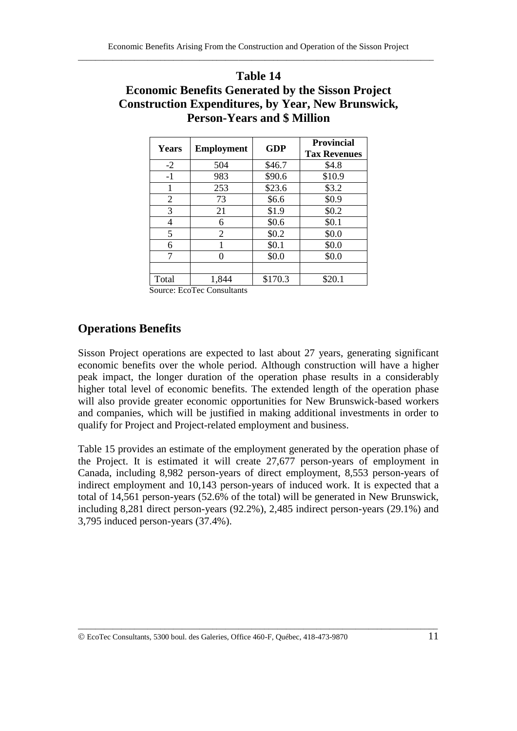#### **Table 14**

## **Economic Benefits Generated by the Sisson Project Construction Expenditures, by Year, New Brunswick, Person-Years and \$ Million**

| <b>Years</b> | <b>Employment</b> | <b>GDP</b> | <b>Provincial</b><br><b>Tax Revenues</b> |
|--------------|-------------------|------------|------------------------------------------|
| $-2$         | 504               | \$46.7     | \$4.8                                    |
| $-1$         | 983               | \$90.6     | \$10.9                                   |
|              | 253               | \$23.6     | \$3.2                                    |
| 2            | 73                | \$6.6      | \$0.9                                    |
| 3            | 21                | \$1.9      | \$0.2                                    |
| 4            | 6                 | \$0.6      | \$0.1                                    |
| 5            | 2                 | \$0.2\$    | \$0.0                                    |
| 6            |                   | \$0.1      | \$0.0                                    |
| 7            |                   | \$0.0      | \$0.0                                    |
|              |                   |            |                                          |
| Total        | 1,844             | \$170.3    | \$20.1                                   |

Source: EcoTec Consultants

#### **Operations Benefits**

Sisson Project operations are expected to last about 27 years, generating significant economic benefits over the whole period. Although construction will have a higher peak impact, the longer duration of the operation phase results in a considerably higher total level of economic benefits. The extended length of the operation phase will also provide greater economic opportunities for New Brunswick-based workers and companies, which will be justified in making additional investments in order to qualify for Project and Project-related employment and business.

Table 15 provides an estimate of the employment generated by the operation phase of the Project. It is estimated it will create 27,677 person-years of employment in Canada, including 8,982 person-years of direct employment, 8,553 person-years of indirect employment and 10,143 person-years of induced work. It is expected that a total of 14,561 person-years (52.6% of the total) will be generated in New Brunswick, including 8,281 direct person-years (92.2%), 2,485 indirect person-years (29.1%) and 3,795 induced person-years (37.4%).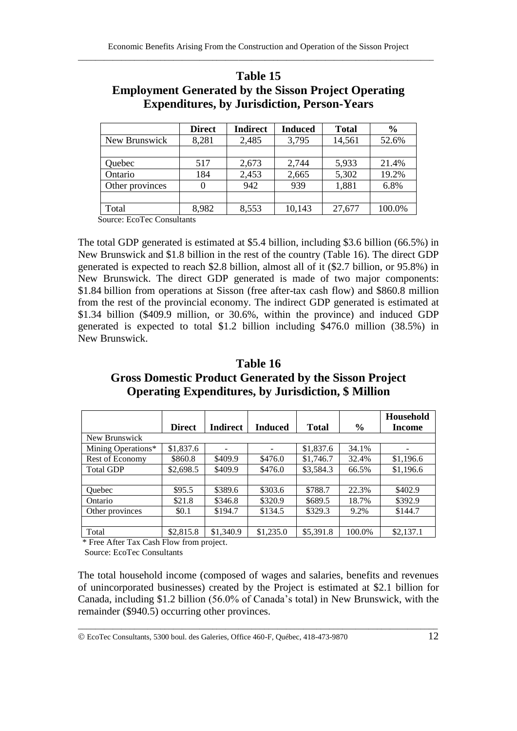|                 | <b>Direct</b> | <b>Indirect</b> | <b>Induced</b> | <b>Total</b> | $\frac{6}{9}$ |
|-----------------|---------------|-----------------|----------------|--------------|---------------|
| New Brunswick   | 8,281         | 2,485           | 3,795          | 14,561       | 52.6%         |
|                 |               |                 |                |              |               |
| Quebec          | 517           | 2,673           | 2,744          | 5,933        | 21.4%         |
| Ontario         | 184           | 2,453           | 2,665          | 5,302        | 19.2%         |
| Other provinces |               | 942             | 939            | 1,881        | 6.8%          |
|                 |               |                 |                |              |               |
| Total           | 8,982         | 8,553           | 10,143         | 27,677       | 100.0%        |

#### **Table 15 Employment Generated by the Sisson Project Operating Expenditures, by Jurisdiction, Person-Years**

Source: EcoTec Consultants

The total GDP generated is estimated at \$5.4 billion, including \$3.6 billion (66.5%) in New Brunswick and \$1.8 billion in the rest of the country (Table 16). The direct GDP generated is expected to reach \$2.8 billion, almost all of it (\$2.7 billion, or 95.8%) in New Brunswick. The direct GDP generated is made of two major components: \$1.84 billion from operations at Sisson (free after-tax cash flow) and \$860.8 million from the rest of the provincial economy. The indirect GDP generated is estimated at \$1.34 billion (\$409.9 million, or 30.6%, within the province) and induced GDP generated is expected to total \$1.2 billion including \$476.0 million (38.5%) in New Brunswick.

### **Table 16 Gross Domestic Product Generated by the Sisson Project Operating Expenditures, by Jurisdiction, \$ Million**

|                    |               |                 |                |              |               | Household |
|--------------------|---------------|-----------------|----------------|--------------|---------------|-----------|
|                    | <b>Direct</b> | <b>Indirect</b> | <b>Induced</b> | <b>Total</b> | $\frac{0}{0}$ | Income    |
| New Brunswick      |               |                 |                |              |               |           |
| Mining Operations* | \$1,837.6     |                 |                | \$1,837.6    | 34.1%         |           |
| Rest of Economy    | \$860.8       | \$409.9         | \$476.0        | \$1,746.7    | 32.4%         | \$1,196.6 |
| <b>Total GDP</b>   | \$2,698.5     | \$409.9         | \$476.0        | \$3.584.3    | 66.5%         | \$1,196.6 |
|                    |               |                 |                |              |               |           |
| <b>Ouebec</b>      | \$95.5        | \$389.6         | \$303.6        | \$788.7      | 22.3%         | \$402.9   |
| Ontario            | \$21.8        | \$346.8         | \$320.9        | \$689.5      | 18.7%         | \$392.9   |
| Other provinces    | \$0.1         | \$194.7         | \$134.5        | \$329.3      | 9.2%          | \$144.7   |
|                    |               |                 |                |              |               |           |
| Total              | \$2,815.8     | \$1,340.9       | \$1,235.0      | \$5,391.8    | 100.0%        | \$2,137.1 |

\* Free After Tax Cash Flow from project.

Source: EcoTec Consultants

The total household income (composed of wages and salaries, benefits and revenues of unincorporated businesses) created by the Project is estimated at \$2.1 billion for Canada, including \$1.2 billion (56.0% of Canada's total) in New Brunswick, with the remainder (\$940.5) occurring other provinces.

EcoTec Consultants, 5300 boul. des Galeries, Office 460-F, Québec, 418-473-9870 12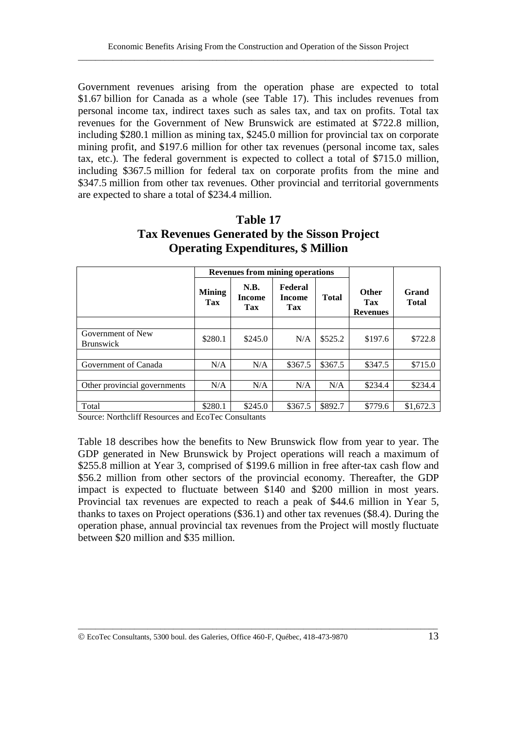Government revenues arising from the operation phase are expected to total \$1.67 billion for Canada as a whole (see Table 17). This includes revenues from personal income tax, indirect taxes such as sales tax, and tax on profits. Total tax revenues for the Government of New Brunswick are estimated at \$722.8 million, including \$280.1 million as mining tax, \$245.0 million for provincial tax on corporate mining profit, and \$197.6 million for other tax revenues (personal income tax, sales tax, etc.). The federal government is expected to collect a total of \$715.0 million, including \$367.5 million for federal tax on corporate profits from the mine and \$347.5 million from other tax revenues. Other provincial and territorial governments are expected to share a total of \$234.4 million.

#### **Table 17 Tax Revenues Generated by the Sisson Project Operating Expenditures, \$ Million**

|                                       |                      | <b>Revenues from mining operations</b> |                                 |              |                                        |                       |
|---------------------------------------|----------------------|----------------------------------------|---------------------------------|--------------|----------------------------------------|-----------------------|
|                                       | <b>Mining</b><br>Tax | <b>N.B.</b><br><b>Income</b><br>Tax    | Federal<br><b>Income</b><br>Tax | <b>Total</b> | <b>Other</b><br>Tax<br><b>Revenues</b> | Grand<br><b>Total</b> |
|                                       |                      |                                        |                                 |              |                                        |                       |
| Government of New<br><b>Brunswick</b> | \$280.1              | \$245.0                                | N/A                             | \$525.2      | \$197.6                                | \$722.8               |
|                                       |                      |                                        |                                 |              |                                        |                       |
| Government of Canada                  | N/A                  | N/A                                    | \$367.5                         | \$367.5      | \$347.5                                | \$715.0               |
|                                       |                      |                                        |                                 |              |                                        |                       |
| Other provincial governments          | N/A                  | N/A                                    | N/A                             | N/A          | \$234.4                                | \$234.4               |
|                                       |                      |                                        |                                 |              |                                        |                       |
| Total                                 | \$280.1              | \$245.0                                | \$367.5                         | \$892.7      | \$779.6                                | \$1,672.3             |

Source: Northcliff Resources and EcoTec Consultants

Table 18 describes how the benefits to New Brunswick flow from year to year. The GDP generated in New Brunswick by Project operations will reach a maximum of \$255.8 million at Year 3, comprised of \$199.6 million in free after-tax cash flow and \$56.2 million from other sectors of the provincial economy. Thereafter, the GDP impact is expected to fluctuate between \$140 and \$200 million in most years. Provincial tax revenues are expected to reach a peak of \$44.6 million in Year 5, thanks to taxes on Project operations (\$36.1) and other tax revenues (\$8.4). During the operation phase, annual provincial tax revenues from the Project will mostly fluctuate between \$20 million and \$35 million.

EcoTec Consultants, 5300 boul. des Galeries, Office 460-F, Québec, 418-473-9870 13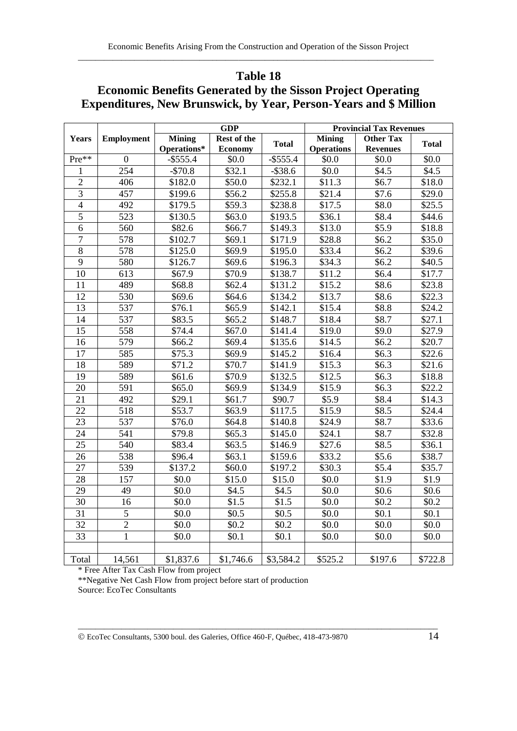#### **Table 18**

## **Economic Benefits Generated by the Sisson Project Operating Expenditures, New Brunswick, by Year, Person-Years and \$ Million**

|                 |                   |               | <b>GDP</b>     |              | <b>Provincial Tax Revenues</b> |                  |                    |
|-----------------|-------------------|---------------|----------------|--------------|--------------------------------|------------------|--------------------|
| <b>Years</b>    | <b>Employment</b> | <b>Mining</b> | Rest of the    | <b>Total</b> | <b>Mining</b>                  | <b>Other Tax</b> | <b>Total</b>       |
|                 |                   | Operations*   | <b>Economy</b> |              | <b>Operations</b>              | <b>Revenues</b>  |                    |
| Pre**           | $\boldsymbol{0}$  | $-$ \$555.4   | \$0.0          | $-$ \$555.4  | \$0.0                          | \$0.0            | \$0.0              |
| 1               | 254               | $-$70.8$      | \$32.1         | $-$ \$38.6   | \$0.0                          | \$4.5            | \$4.5              |
| $\overline{2}$  | 406               | \$182.0       | \$50.0         | \$232.1      | \$11.3                         | \$6.7            | \$18.0             |
| $\overline{3}$  | 457               | \$199.6       | \$56.2         | \$255.8      | \$21.4                         | \$7.6            | \$29.0             |
| $\overline{4}$  | 492               | \$179.5       | \$59.3         | \$238.8      | \$17.5                         | \$8.0            | \$25.5             |
| $\overline{5}$  | 523               | \$130.5       | \$63.0         | \$193.5      | \$36.1                         | \$8.4            | \$44.6             |
| 6               | 560               | \$82.6        | \$66.7         | \$149.3      | \$13.0                         | \$5.9            | \$18.8             |
| $\overline{7}$  | 578               | \$102.7       | \$69.1         | \$171.9      | \$28.8                         | \$6.2\$          | \$35.0             |
| $\overline{8}$  | 578               | \$125.0       | \$69.9         | \$195.0      | \$33.4                         | \$6.2\$          | \$39.6             |
| $\overline{9}$  | 580               | \$126.7       | \$69.6         | \$196.3      | \$34.3                         | \$6.2\$          | \$40.5             |
| 10              | 613               | \$67.9        | \$70.9         | \$138.7      | \$11.2                         | \$6.4            | \$17.7             |
| 11              | 489               | \$68.8        | \$62.4         | \$131.2      | \$15.2                         | \$8.6            | \$23.8             |
| 12              | 530               | \$69.6        | \$64.6         | \$134.2      | \$13.7                         | \$8.6            | \$22.3             |
| 13              | 537               | \$76.1        | \$65.9         | \$142.1      | \$15.4                         | \$8.8            | \$24.2             |
| 14              | 537               | \$83.5        | \$65.2         | \$148.7      | \$18.4                         | \$8.7            | \$27.1             |
| 15              | 558               | \$74.4        | \$67.0         | \$141.4      | \$19.0                         | \$9.0            | \$27.9             |
| 16              | 579               | \$66.2        | \$69.4         | \$135.6      | \$14.5                         | \$6.2\$          | \$20.7             |
| 17              | 585               | \$75.3        | \$69.9         | \$145.2      | \$16.4                         | \$6.3            | \$22.6             |
| 18              | 589               | \$71.2        | \$70.7         | \$141.9      | \$15.3                         | \$6.3\$          | \$21.6             |
| 19              | 589               | \$61.6        | \$70.9         | \$132.5      | \$12.5                         | \$6.3\$          | \$18.8             |
| 20              | 591               | \$65.0        | \$69.9         | \$134.9      | \$15.9                         | \$6.3\$          | \$22.2             |
| $\overline{21}$ | 492               | \$29.1        | \$61.7         | \$90.7       | \$5.9                          | \$8.4            | \$14.3             |
| 22              | 518               | \$53.7        | \$63.9         | \$117.5      | \$15.9                         | \$8.5            | $\overline{$}24.4$ |
| 23              | 537               | \$76.0        | \$64.8         | \$140.8      | \$24.9                         | \$8.7            | \$33.6             |
| 24              | 541               | \$79.8        | \$65.3         | \$145.0      | \$24.1                         | \$8.7            | \$32.8             |
| 25              | 540               | \$83.4        | \$63.5         | \$146.9      | \$27.6                         | \$8.5            | \$36.1             |
| 26              | 538               | \$96.4        | \$63.1         | \$159.6      | \$33.2                         | \$5.6            | \$38.7             |
| 27              | 539               | \$137.2       | \$60.0         | \$197.2      | \$30.3                         | \$5.4            | \$35.7             |
| 28              | 157               | \$0.0         | \$15.0         | \$15.0       | \$0.0                          | \$1.9            | \$1.9              |
| 29              | 49                | \$0.0         | \$4.5          | \$4.5        | \$0.0                          | \$0.6            | \$0.6              |
| 30              | 16                | \$0.0\$       | \$1.5          | \$1.5        | \$0.0                          | \$0.2\$          | \$0.2              |
| $\overline{31}$ | $\overline{5}$    | \$0.0         | \$0.5          | \$0.5        | \$0.0                          | \$0.1            | \$0.1              |
| 32              | $\overline{2}$    | \$0.0         | \$0.2\$        | \$0.2\$      | \$0.0                          | \$0.0            | \$0.0              |
| $\overline{33}$ | $\mathbf{1}$      | \$0.0         | \$0.1          | \$0.1        | \$0.0                          | \$0.0            | \$0.0              |
|                 |                   |               |                |              |                                |                  |                    |
| Total           | 14,561            | \$1,837.6     | \$1,746.6      | \$3,584.2    | \$525.2                        | \$197.6          | \$722.8            |

\* Free After Tax Cash Flow from project

\*\*Negative Net Cash Flow from project before start of production Source: EcoTec Consultants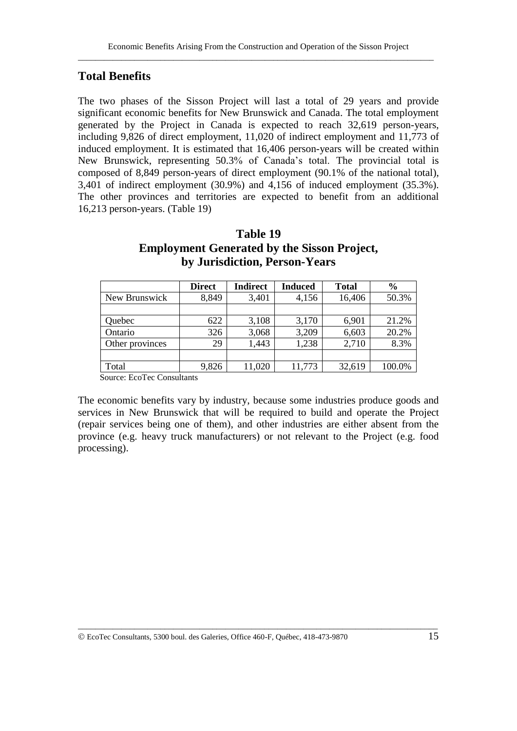#### **Total Benefits**

The two phases of the Sisson Project will last a total of 29 years and provide significant economic benefits for New Brunswick and Canada. The total employment generated by the Project in Canada is expected to reach 32,619 person-years, including 9,826 of direct employment, 11,020 of indirect employment and 11,773 of induced employment. It is estimated that 16,406 person-years will be created within New Brunswick, representing 50.3% of Canada's total. The provincial total is composed of 8,849 person-years of direct employment (90.1% of the national total), 3,401 of indirect employment (30.9%) and 4,156 of induced employment (35.3%). The other provinces and territories are expected to benefit from an additional 16,213 person-years. (Table 19)

#### **Table 19 Employment Generated by the Sisson Project, by Jurisdiction, Person-Years**

|                 | <b>Direct</b> | <b>Indirect</b> | <b>Induced</b> | <b>Total</b> | $\frac{6}{6}$ |
|-----------------|---------------|-----------------|----------------|--------------|---------------|
| New Brunswick   | 8,849         | 3,401           | 4,156          | 16,406       | 50.3%         |
|                 |               |                 |                |              |               |
| Quebec          | 622           | 3,108           | 3,170          | 6,901        | 21.2%         |
| Ontario         | 326           | 3,068           | 3,209          | 6,603        | 20.2%         |
| Other provinces | 29            | 1,443           | 1,238          | 2,710        | 8.3%          |
|                 |               |                 |                |              |               |
| Total           | 9,826         | 11,020          | 11,773         | 32,619       | 100.0%        |

Source: EcoTec Consultants

The economic benefits vary by industry, because some industries produce goods and services in New Brunswick that will be required to build and operate the Project (repair services being one of them), and other industries are either absent from the province (e.g. heavy truck manufacturers) or not relevant to the Project (e.g. food processing).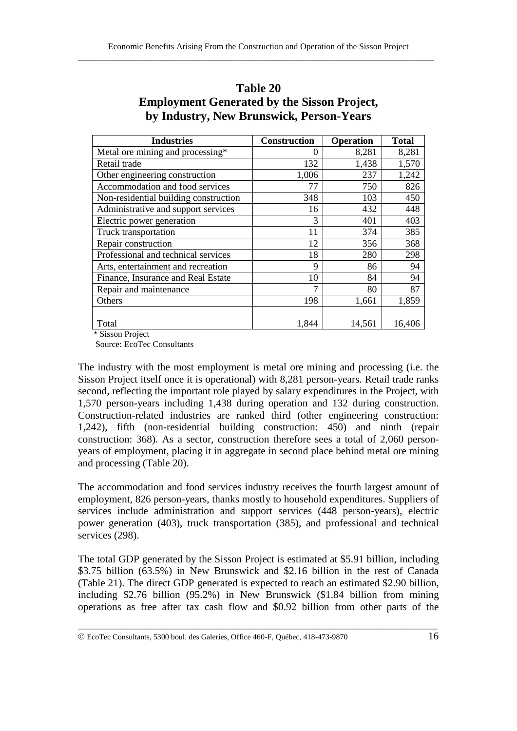| <b>Industries</b>                     | <b>Construction</b> | <b>Operation</b> | <b>Total</b> |
|---------------------------------------|---------------------|------------------|--------------|
| Metal ore mining and processing*      | $\Omega$            | 8,281            | 8,281        |
| Retail trade                          | 132                 | 1,438            | 1,570        |
| Other engineering construction        | 1,006               | 237              | 1,242        |
| Accommodation and food services       | 77                  | 750              | 826          |
| Non-residential building construction | 348                 | 103              | 450          |
| Administrative and support services   | 16                  | 432              | 448          |
| Electric power generation             | 3                   | 401              | 403          |
| Truck transportation                  | 11                  | 374              | 385          |
| Repair construction                   | 12                  | 356              | 368          |
| Professional and technical services   | 18                  | 280              | 298          |
| Arts, entertainment and recreation    | 9                   | 86               | 94           |
| Finance, Insurance and Real Estate    | 10                  | 84               | 94           |
| Repair and maintenance                | 7                   | 80               | 87           |
| Others                                | 198                 | 1,661            | 1,859        |
|                                       |                     |                  |              |
| Total                                 | 1,844               | 14,561           | 16,406       |

#### **Table 20 Employment Generated by the Sisson Project, by Industry, New Brunswick, Person-Years**

\* Sisson Project

Source: EcoTec Consultants

The industry with the most employment is metal ore mining and processing (i.e. the Sisson Project itself once it is operational) with 8,281 person-years. Retail trade ranks second, reflecting the important role played by salary expenditures in the Project, with 1,570 person-years including 1,438 during operation and 132 during construction. Construction-related industries are ranked third (other engineering construction: 1,242), fifth (non-residential building construction: 450) and ninth (repair construction: 368). As a sector, construction therefore sees a total of 2,060 personyears of employment, placing it in aggregate in second place behind metal ore mining and processing (Table 20).

The accommodation and food services industry receives the fourth largest amount of employment, 826 person-years, thanks mostly to household expenditures. Suppliers of services include administration and support services (448 person-years), electric power generation (403), truck transportation (385), and professional and technical services (298).

The total GDP generated by the Sisson Project is estimated at \$5.91 billion, including \$3.75 billion (63.5%) in New Brunswick and \$2.16 billion in the rest of Canada (Table 21). The direct GDP generated is expected to reach an estimated \$2.90 billion, including \$2.76 billion (95.2%) in New Brunswick (\$1.84 billion from mining operations as free after tax cash flow and \$0.92 billion from other parts of the

EcoTec Consultants, 5300 boul. des Galeries, Office 460-F, Québec, 418-473-9870 16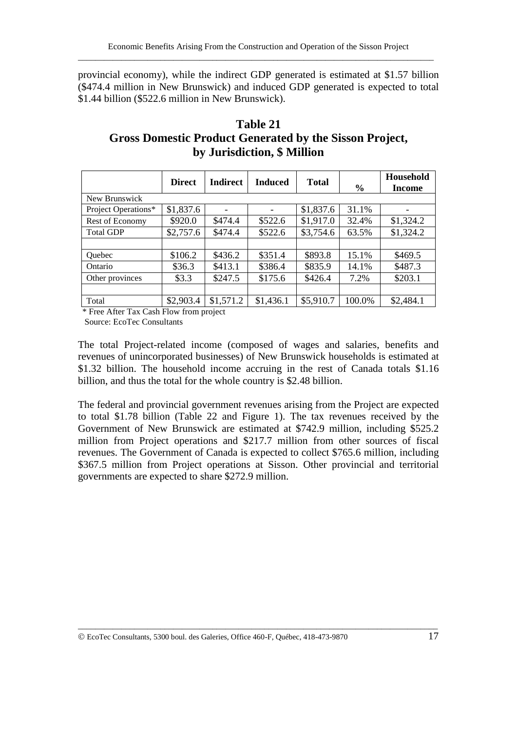provincial economy), while the indirect GDP generated is estimated at \$1.57 billion (\$474.4 million in New Brunswick) and induced GDP generated is expected to total \$1.44 billion (\$522.6 million in New Brunswick).

| Table 21                                                       |
|----------------------------------------------------------------|
| <b>Gross Domestic Product Generated by the Sisson Project,</b> |
| by Jurisdiction, \$ Million                                    |

|                     | <b>Direct</b> | <b>Indirect</b> | <b>Induced</b> | <b>Total</b> | $\frac{6}{6}$ | Household<br>Income |
|---------------------|---------------|-----------------|----------------|--------------|---------------|---------------------|
| New Brunswick       |               |                 |                |              |               |                     |
| Project Operations* | \$1,837.6     |                 |                | \$1,837.6    | 31.1%         |                     |
| Rest of Economy     | \$920.0       | \$474.4         | \$522.6        | \$1,917.0    | 32.4%         | \$1,324.2           |
| <b>Total GDP</b>    | \$2,757.6     | \$474.4         | \$522.6        | \$3,754.6    | 63.5%         | \$1,324.2           |
|                     |               |                 |                |              |               |                     |
| <b>Ouebec</b>       | \$106.2       | \$436.2         | \$351.4        | \$893.8      | 15.1%         | \$469.5             |
| Ontario             | \$36.3        | \$413.1         | \$386.4        | \$835.9      | 14.1%         | \$487.3             |
| Other provinces     | \$3.3         | \$247.5         | \$175.6        | \$426.4      | 7.2%          | \$203.1             |
|                     |               |                 |                |              |               |                     |
| Total               | \$2,903.4     | \$1,571.2       | \$1,436.1      | \$5,910.7    | 100.0%        | \$2,484.1           |

\* Free After Tax Cash Flow from project

Source: EcoTec Consultants

The total Project-related income (composed of wages and salaries, benefits and revenues of unincorporated businesses) of New Brunswick households is estimated at \$1.32 billion. The household income accruing in the rest of Canada totals \$1.16 billion, and thus the total for the whole country is \$2.48 billion.

The federal and provincial government revenues arising from the Project are expected to total \$1.78 billion (Table 22 and Figure 1). The tax revenues received by the Government of New Brunswick are estimated at \$742.9 million, including \$525.2 million from Project operations and \$217.7 million from other sources of fiscal revenues. The Government of Canada is expected to collect \$765.6 million, including \$367.5 million from Project operations at Sisson. Other provincial and territorial governments are expected to share \$272.9 million.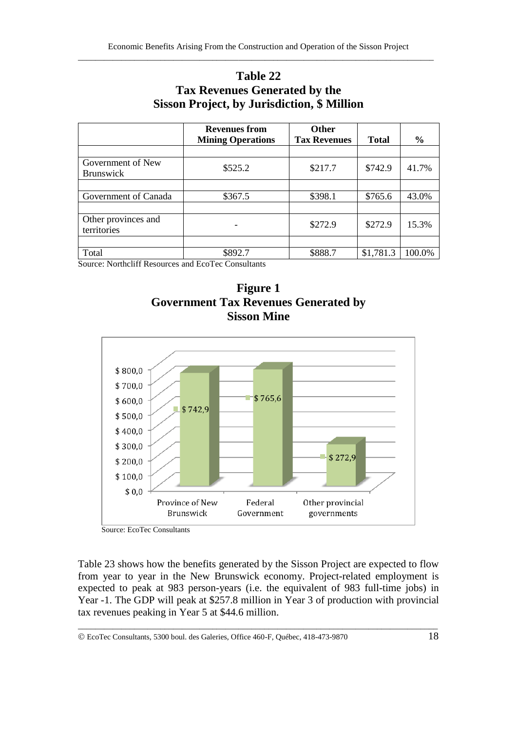## **Table 22 Tax Revenues Generated by the Sisson Project, by Jurisdiction, \$ Million**

|                                       | <b>Revenues from</b><br><b>Mining Operations</b> | <b>Other</b><br><b>Tax Revenues</b> | <b>Total</b> | $\frac{0}{0}$ |
|---------------------------------------|--------------------------------------------------|-------------------------------------|--------------|---------------|
|                                       |                                                  |                                     |              |               |
| Government of New<br><b>Brunswick</b> | \$525.2                                          | \$217.7                             | \$742.9      | 41.7%         |
|                                       |                                                  |                                     |              |               |
| Government of Canada                  | \$367.5                                          | \$398.1                             | \$765.6      | 43.0%         |
|                                       |                                                  |                                     |              |               |
| Other provinces and<br>territories    |                                                  | \$272.9                             | \$272.9      | 15.3%         |
|                                       |                                                  |                                     |              |               |
| Total                                 | \$892.7                                          | \$888.7                             | \$1,781.3    | 100.0%        |

Source: Northcliff Resources and EcoTec Consultants





Source: EcoTec Consultants

Table 23 shows how the benefits generated by the Sisson Project are expected to flow from year to year in the New Brunswick economy. Project-related employment is expected to peak at 983 person-years (i.e. the equivalent of 983 full-time jobs) in Year -1. The GDP will peak at \$257.8 million in Year 3 of production with provincial tax revenues peaking in Year 5 at \$44.6 million.

EcoTec Consultants, 5300 boul. des Galeries, Office 460-F, Québec, 418-473-9870 18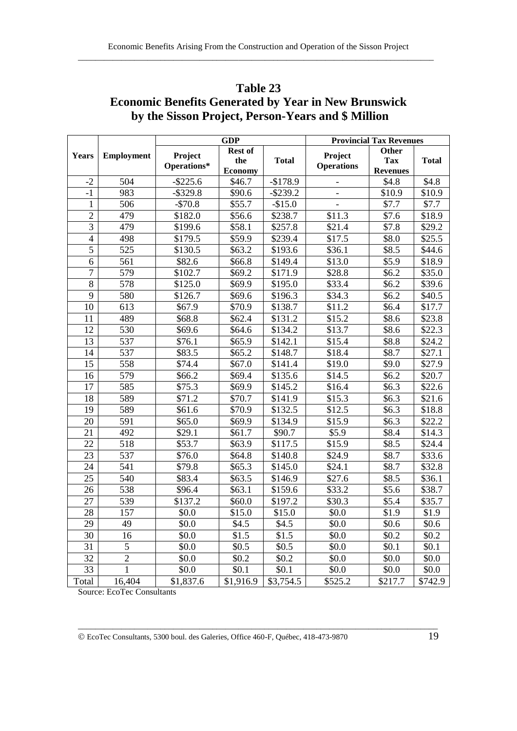|                |                   |             | <b>GDP</b>            |              | <b>Provincial Tax Revenues</b> |                               |              |  |
|----------------|-------------------|-------------|-----------------------|--------------|--------------------------------|-------------------------------|--------------|--|
| Years          | <b>Employment</b> | Project     | <b>Rest of</b>        |              | Project                        | Other                         |              |  |
|                |                   | Operations* | the<br><b>Economy</b> | <b>Total</b> | <b>Operations</b>              | <b>Tax</b><br><b>Revenues</b> | <b>Total</b> |  |
| $-2$           | 504               | $-$ \$225.6 | \$46.7                | $-$178.9$    | $\overline{\phantom{a}}$       | \$4.8                         | \$4.8        |  |
| $-1$           | 983               | $-$ \$329.8 | \$90.6                | $-$ \$239.2  |                                | \$10.9                        | \$10.9       |  |
| $\mathbf{1}$   | 506               | $- $70.8$   | \$55.7                | $-$15.0$     | $\frac{1}{2}$                  | \$7.7                         | \$7.7        |  |
| $\mathbf{2}$   | 479               | \$182.0     | \$56.6                | \$238.7      | \$11.3                         | \$7.6                         | \$18.9       |  |
| 3              | 479               | \$199.6     | \$58.1                | \$257.8      | \$21.4                         | \$7.8                         | \$29.2       |  |
| $\overline{4}$ | 498               | \$179.5     | \$59.9                | \$239.4      | \$17.5                         | \$8.0                         | \$25.5       |  |
| 5              | 525               | \$130.5     | \$63.2                | \$193.6      | \$36.1                         | \$8.5                         | \$44.6       |  |
| 6              | 561               | \$82.6      | \$66.8                | \$149.4      | \$13.0                         | \$5.9                         | \$18.9       |  |
| $\tau$         | 579               | \$102.7     | \$69.2                | \$171.9      | \$28.8                         | \$6.2\$                       | \$35.0       |  |
| $\overline{8}$ | 578               | \$125.0     | \$69.9                | \$195.0      | \$33.4                         | \$6.2\$                       | \$39.6       |  |
| 9              | 580               | \$126.7     | \$69.6                | \$196.3      | \$34.3                         | \$6.2\$                       | \$40.5       |  |
| 10             | 613               | \$67.9      | \$70.9                | \$138.7      | \$11.2                         | \$6.4                         | \$17.7       |  |
| 11             | 489               | \$68.8      | \$62.4                | \$131.2      | \$15.2                         | \$8.6                         | \$23.8       |  |
| 12             | 530               | \$69.6      | \$64.6                | \$134.2      | \$13.7                         | \$8.6                         | \$22.3       |  |
| 13             | 537               | \$76.1      | \$65.9                | \$142.1      | \$15.4                         | \$8.8                         | \$24.2       |  |
| 14             | 537               | \$83.5      | \$65.2                | \$148.7      | \$18.4                         | \$8.7                         | \$27.1       |  |
| 15             | 558               | \$74.4      | \$67.0                | \$141.4      | \$19.0                         | \$9.0                         | \$27.9       |  |
| 16             | 579               | \$66.2      | \$69.4                | \$135.6      | \$14.5                         | \$6.2\$                       | \$20.7       |  |
| 17             | 585               | \$75.3      | \$69.9                | \$145.2      | \$16.4                         | \$6.3                         | \$22.6       |  |
| 18             | 589               | \$71.2      | \$70.7                | \$141.9      | \$15.3                         | \$6.3\$                       | \$21.6       |  |
| 19             | 589               | \$61.6      | \$70.9                | \$132.5      | \$12.5                         | \$6.3\$                       | \$18.8       |  |
| 20             | 591               | \$65.0      | \$69.9                | \$134.9      | \$15.9                         | \$6.3\$                       | \$22.2       |  |
| 21             | 492               | \$29.1      | \$61.7                | \$90.7       | \$5.9                          | \$8.4                         | \$14.3       |  |
| 22             | 518               | \$53.7      | \$63.9                | \$117.5      | \$15.9                         | \$8.5                         | \$24.4       |  |
| 23             | 537               | \$76.0      | \$64.8                | \$140.8      | \$24.9                         | \$8.7                         | \$33.6       |  |
| 24             | 541               | \$79.8      | \$65.3                | \$145.0      | \$24.1                         | \$8.7                         | \$32.8       |  |
| 25             | 540               | \$83.4      | \$63.5                | \$146.9      | \$27.6                         | \$8.5                         | \$36.1       |  |
| 26             | 538               | \$96.4      | \$63.1                | \$159.6      | \$33.2                         | \$5.6                         | \$38.7       |  |
| 27             | 539               | \$137.2     | \$60.0                | \$197.2      | \$30.3                         | \$5.4                         | \$35.7       |  |
| 28             | 157               | \$0.0       | \$15.0                | \$15.0       | \$0.0\$                        | \$1.9                         | \$1.9        |  |
| 29             | 49                | \$0.0       | \$4.5                 | \$4.5        | \$0.0                          | \$0.6                         | \$0.6        |  |
| 30             | 16                | \$0.0       | \$1.5                 | \$1.5        | \$0.0                          | \$0.2\$                       | \$0.2        |  |
| 31             | 5                 | \$0.0       | \$0.5                 | \$0.5        | \$0.0                          | \$0.1                         | \$0.1        |  |
| 32             | $\overline{2}$    | \$0.0       | \$0.2\$               | \$0.2\$      | \$0.0                          | \$0.0                         | \$0.0        |  |
| 33             | $\mathbf{1}$      | \$0.0       | \$0.1                 | \$0.1        | \$0.0                          | \$0.0                         | \$0.0        |  |
| Total          | 16,404            | \$1,837.6   | \$1,916.9             | \$3,754.5    | \$525.2                        | \$217.7                       | \$742.9      |  |

## **Table 23 Economic Benefits Generated by Year in New Brunswick by the Sisson Project, Person-Years and \$ Million**

Source: EcoTec Consultants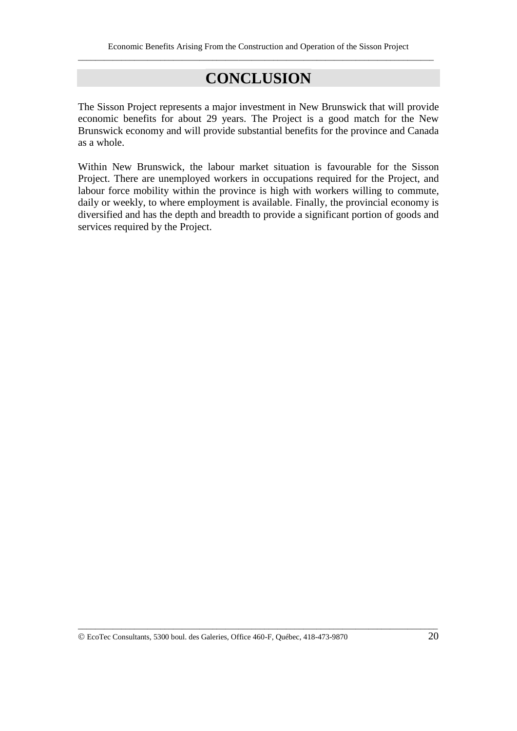# **CONCLUSION**

The Sisson Project represents a major investment in New Brunswick that will provide economic benefits for about 29 years. The Project is a good match for the New Brunswick economy and will provide substantial benefits for the province and Canada as a whole.

Within New Brunswick, the labour market situation is favourable for the Sisson Project. There are unemployed workers in occupations required for the Project, and labour force mobility within the province is high with workers willing to commute, daily or weekly, to where employment is available. Finally, the provincial economy is diversified and has the depth and breadth to provide a significant portion of goods and services required by the Project.

EcoTec Consultants, 5300 boul. des Galeries, Office 460-F, Québec, 418-473-9870 20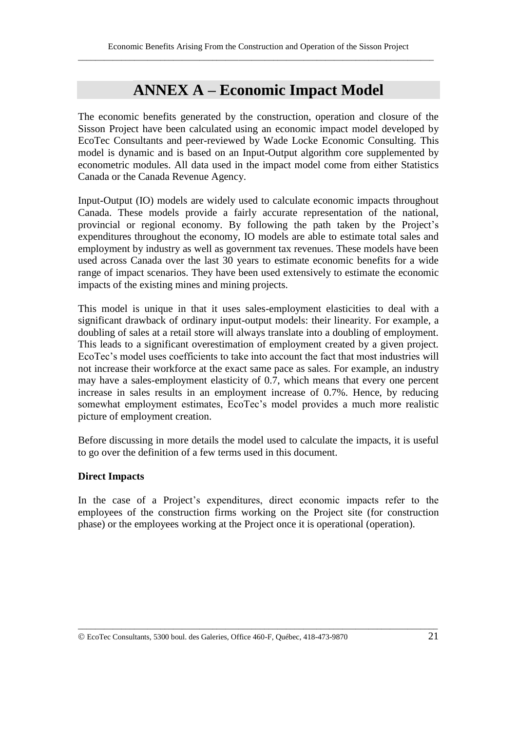# **ANNEX A – Economic Impact Model**

The economic benefits generated by the construction, operation and closure of the Sisson Project have been calculated using an economic impact model developed by EcoTec Consultants and peer-reviewed by Wade Locke Economic Consulting. This model is dynamic and is based on an Input-Output algorithm core supplemented by econometric modules. All data used in the impact model come from either Statistics Canada or the Canada Revenue Agency.

Input-Output (IO) models are widely used to calculate economic impacts throughout Canada. These models provide a fairly accurate representation of the national, provincial or regional economy. By following the path taken by the Project's expenditures throughout the economy, IO models are able to estimate total sales and employment by industry as well as government tax revenues. These models have been used across Canada over the last 30 years to estimate economic benefits for a wide range of impact scenarios. They have been used extensively to estimate the economic impacts of the existing mines and mining projects.

This model is unique in that it uses sales-employment elasticities to deal with a significant drawback of ordinary input-output models: their linearity. For example, a doubling of sales at a retail store will always translate into a doubling of employment. This leads to a significant overestimation of employment created by a given project. EcoTec's model uses coefficients to take into account the fact that most industries will not increase their workforce at the exact same pace as sales. For example, an industry may have a sales-employment elasticity of 0.7, which means that every one percent increase in sales results in an employment increase of 0.7%. Hence, by reducing somewhat employment estimates, EcoTec's model provides a much more realistic picture of employment creation.

Before discussing in more details the model used to calculate the impacts, it is useful to go over the definition of a few terms used in this document.

#### **Direct Impacts**

In the case of a Project's expenditures, direct economic impacts refer to the employees of the construction firms working on the Project site (for construction phase) or the employees working at the Project once it is operational (operation).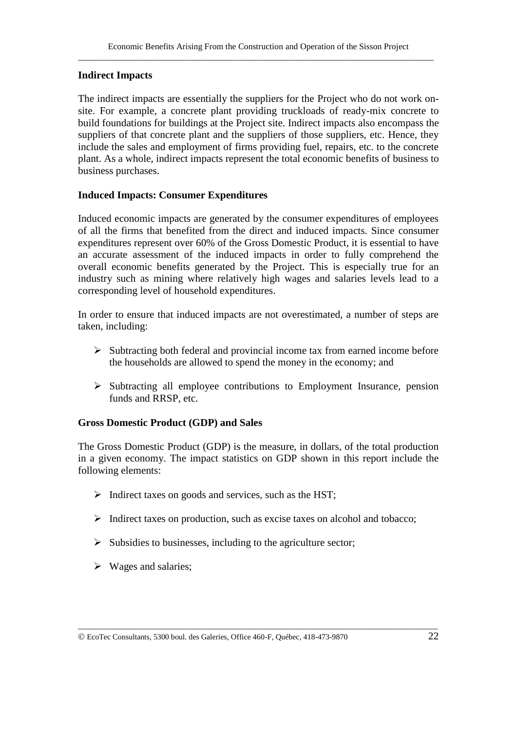#### **Indirect Impacts**

The indirect impacts are essentially the suppliers for the Project who do not work onsite. For example, a concrete plant providing truckloads of ready-mix concrete to build foundations for buildings at the Project site. Indirect impacts also encompass the suppliers of that concrete plant and the suppliers of those suppliers, etc. Hence, they include the sales and employment of firms providing fuel, repairs, etc. to the concrete plant. As a whole, indirect impacts represent the total economic benefits of business to business purchases.

#### **Induced Impacts: Consumer Expenditures**

Induced economic impacts are generated by the consumer expenditures of employees of all the firms that benefited from the direct and induced impacts. Since consumer expenditures represent over 60% of the Gross Domestic Product, it is essential to have an accurate assessment of the induced impacts in order to fully comprehend the overall economic benefits generated by the Project. This is especially true for an industry such as mining where relatively high wages and salaries levels lead to a corresponding level of household expenditures.

In order to ensure that induced impacts are not overestimated, a number of steps are taken, including:

- $\triangleright$  Subtracting both federal and provincial income tax from earned income before the households are allowed to spend the money in the economy; and
- $\triangleright$  Subtracting all employee contributions to Employment Insurance, pension funds and RRSP, etc.

#### **Gross Domestic Product (GDP) and Sales**

The Gross Domestic Product (GDP) is the measure, in dollars, of the total production in a given economy. The impact statistics on GDP shown in this report include the following elements:

- $\triangleright$  Indirect taxes on goods and services, such as the HST;
- $\triangleright$  Indirect taxes on production, such as excise taxes on alcohol and tobacco;

- $\triangleright$  Subsidies to businesses, including to the agriculture sector;
- $\triangleright$  Wages and salaries;
- EcoTec Consultants, 5300 boul. des Galeries, Office 460-F, Québec, 418-473-9870 22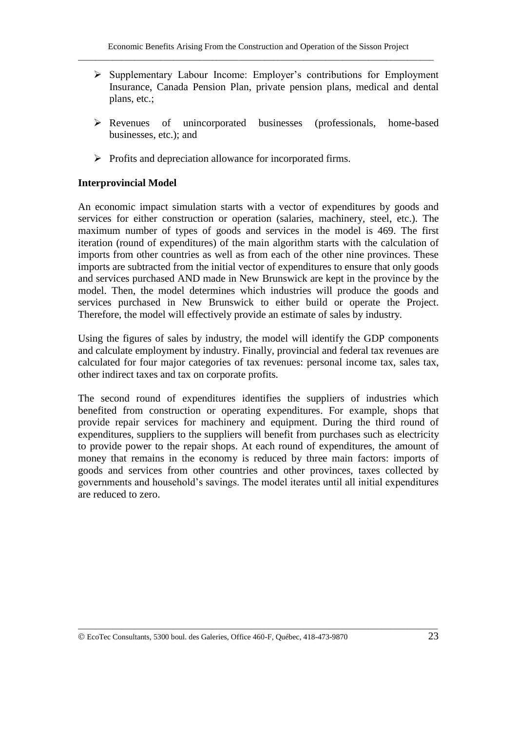- $\triangleright$  Supplementary Labour Income: Employer's contributions for Employment Insurance, Canada Pension Plan, private pension plans, medical and dental plans, etc.;
- Revenues of unincorporated businesses (professionals, home-based businesses, etc.); and
- $\triangleright$  Profits and depreciation allowance for incorporated firms.

#### **Interprovincial Model**

An economic impact simulation starts with a vector of expenditures by goods and services for either construction or operation (salaries, machinery, steel, etc.). The maximum number of types of goods and services in the model is 469. The first iteration (round of expenditures) of the main algorithm starts with the calculation of imports from other countries as well as from each of the other nine provinces. These imports are subtracted from the initial vector of expenditures to ensure that only goods and services purchased AND made in New Brunswick are kept in the province by the model. Then, the model determines which industries will produce the goods and services purchased in New Brunswick to either build or operate the Project. Therefore, the model will effectively provide an estimate of sales by industry.

Using the figures of sales by industry, the model will identify the GDP components and calculate employment by industry. Finally, provincial and federal tax revenues are calculated for four major categories of tax revenues: personal income tax, sales tax, other indirect taxes and tax on corporate profits.

The second round of expenditures identifies the suppliers of industries which benefited from construction or operating expenditures. For example, shops that provide repair services for machinery and equipment. During the third round of expenditures, suppliers to the suppliers will benefit from purchases such as electricity to provide power to the repair shops. At each round of expenditures, the amount of money that remains in the economy is reduced by three main factors: imports of goods and services from other countries and other provinces, taxes collected by governments and household's savings. The model iterates until all initial expenditures are reduced to zero.

EcoTec Consultants, 5300 boul. des Galeries, Office 460-F, Québec, 418-473-9870 23